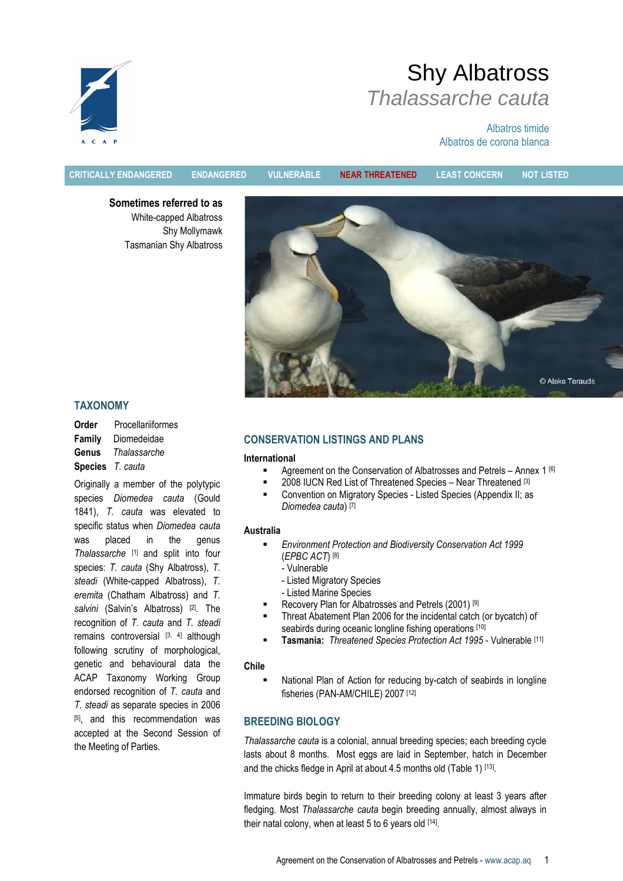

# Albatros timide Albatros de corona blanca

CRITICALLY ENDANGERED ENDANGERED VULNERABLE NEAR THREATENED LEAST CONCERN NOT LISTED

Sometimes referred to as White-capped Albatross Shy Mollymawk Tasmanian Shy Albatross



# TAXONOMY

Order Procellariiformes Family Diomedeidae Genus Thalassarche Species T. cauta

Originally a member of the polytypic species Diomedea cauta (Gould 1841), T. cauta was elevated to specific status when Diomedea cauta was placed in the genus Thalassarche [1] and split into four species: T. cauta (Shy Albatross), T. steadi (White-capped Albatross), T. eremita (Chatham Albatross) and T. salvini (Salvin's Albatross) [2]. The recognition of T. cauta and T. steadi remains controversial  $[3, 4]$  although following scrutiny of morphological, genetic and behavioural data the ACAP Taxonomy Working Group endorsed recognition of T. cauta and T. steadi as separate species in 2006 [5], and this recommendation was accepted at the Second Session of the Meeting of Parties.

# CONSERVATION LISTINGS AND PLANS

### International

- Agreement on the Conservation of Albatrosses and Petrels Annex 1 [6]
- 2008 IUCN Red List of Threatened Species Near Threatened [3]
- Convention on Migratory Species Listed Species (Appendix II; as Diomedea cauta) [7]

### Australia

- Environment Protection and Biodiversity Conservation Act 1999 (EPBC ACT) [8]
	- Vulnerable
	- Listed Migratory Species
	- Listed Marine Species
- Recovery Plan for Albatrosses and Petrels (2001) [9]
- Threat Abatement Plan 2006 for the incidental catch (or bycatch) of seabirds during oceanic longline fishing operations [10]
- Tasmania: Threatened Species Protection Act 1995 Vulnerable [11]

### Chile

 National Plan of Action for reducing by-catch of seabirds in longline fisheries (PAN-AM/CHILE) 2007 [12]

# BREEDING BIOLOGY

Thalassarche cauta is a colonial, annual breeding species; each breeding cycle lasts about 8 months. Most eggs are laid in September, hatch in December and the chicks fledge in April at about 4.5 months old (Table 1) [13].

Immature birds begin to return to their breeding colony at least 3 years after fledging. Most Thalassarche cauta begin breeding annually, almost always in their natal colony, when at least 5 to 6 years old [14].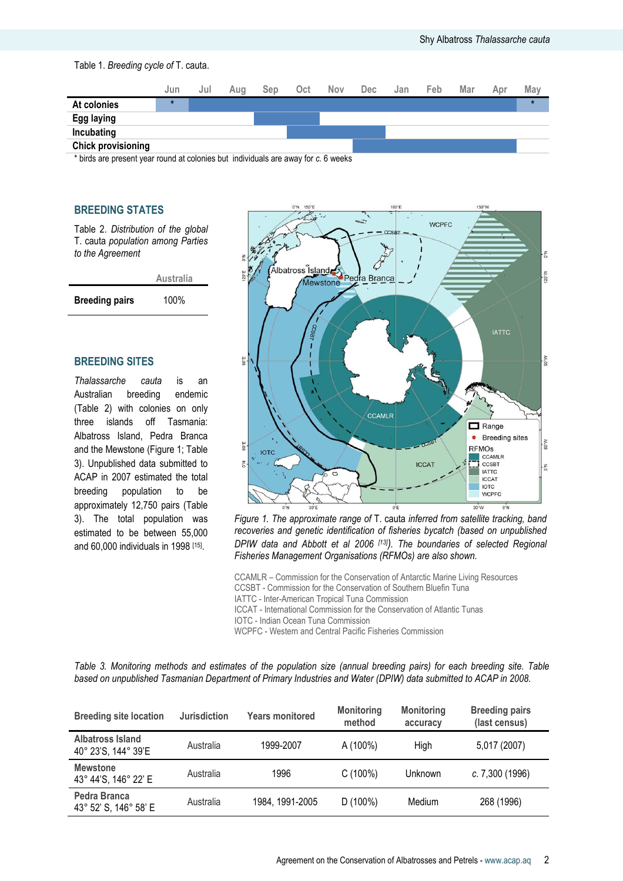

\* birds are present year round at colonies but individuals are away for c. 6 weeks

# BREEDING STATES

Table 2. Distribution of the global T. cauta population among Parties to the Agreement



## BREEDING SITES

Thalassarche cauta is an Australian breeding endemic (Table 2) with colonies on only three islands off Tasmania: Albatross Island, Pedra Branca and the Mewstone (Figure 1; Table 3). Unpublished data submitted to ACAP in 2007 estimated the total breeding population to be approximately 12,750 pairs (Table 3). The total population was estimated to be between 55,000 and 60,000 individuals in 1998 [15] .



Figure 1. The approximate range of T. cauta inferred from satellite tracking, band recoveries and genetic identification of fisheries bycatch (based on unpublished DPIW data and Abbott et al 2006 [13]). The boundaries of selected Regional Fisheries Management Organisations (RFMOs) are also shown.

CCAMLR – Commission for the Conservation of Antarctic Marine Living Resources CCSBT - Commission for the Conservation of Southern Bluefin Tuna IATTC - Inter-American Tropical Tuna Commission ICCAT - International Commission for the Conservation of Atlantic Tunas

IOTC - Indian Ocean Tuna Commission

WCPFC - Western and Central Pacific Fisheries Commission

Table 3. Monitoring methods and estimates of the population size (annual breeding pairs) for each breeding site. Table based on unpublished Tasmanian Department of Primary Industries and Water (DPIW) data submitted to ACAP in 2008.

| <b>Breeding site location</b>                  | <b>Jurisdiction</b> | <b>Years monitored</b> | <b>Monitoring</b><br>method | <b>Monitoring</b><br>accuracy | <b>Breeding pairs</b><br>(last census) |
|------------------------------------------------|---------------------|------------------------|-----------------------------|-------------------------------|----------------------------------------|
| <b>Albatross Island</b><br>40° 23'S, 144° 39'E | Australia           | 1999-2007              | A (100%)                    | High                          | 5,017 (2007)                           |
| <b>Mewstone</b><br>43° 44'S, 146° 22' E        | Australia           | 1996                   | C(100%)                     | Unknown                       | c. 7,300 (1996)                        |
| Pedra Branca<br>43° 52' S, 146° 58' E          | Australia           | 1984, 1991-2005        | D $(100\%)$                 | Medium                        | 268 (1996)                             |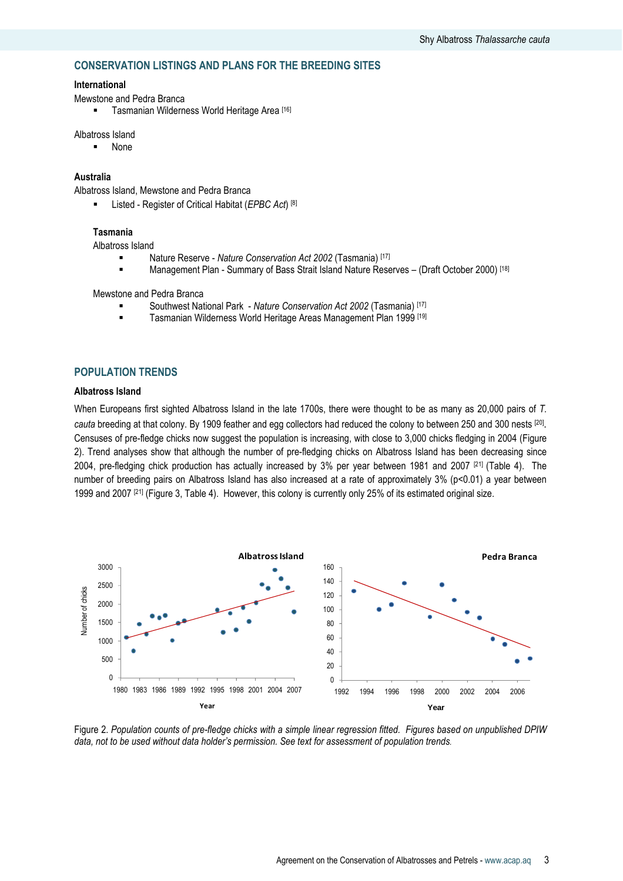# CONSERVATION LISTINGS AND PLANS FOR THE BREEDING SITES

## International

Mewstone and Pedra Branca

**Tasmanian Wilderness World Heritage Area** [16]

### Albatross Island

None

# Australia

Albatross Island, Mewstone and Pedra Branca

**Listed - Register of Critical Habitat (EPBC Act)** [8]

#### Tasmania

Albatross Island

- Nature Reserve Nature Conservation Act 2002 (Tasmania) [17]
- **Management Plan Summary of Bass Strait Island Nature Reserves (Draft October 2000)** [18]

Mewstone and Pedra Branca

- Southwest National Park Nature Conservation Act 2002 (Tasmania) [17]
- Tasmanian Wilderness World Heritage Areas Management Plan 1999 [19]

# POPULATION TRENDS

#### Albatross Island

When Europeans first sighted Albatross Island in the late 1700s, there were thought to be as many as 20,000 pairs of T. cauta breeding at that colony. By 1909 feather and egg collectors had reduced the colony to between 250 and 300 nests [20]. Censuses of pre-fledge chicks now suggest the population is increasing, with close to 3,000 chicks fledging in 2004 (Figure 2). Trend analyses show that although the number of pre-fledging chicks on Albatross Island has been decreasing since 2004, pre-fledging chick production has actually increased by 3% per year between 1981 and 2007 [21] (Table 4). The number of breeding pairs on Albatross Island has also increased at a rate of approximately 3% (p<0.01) a year between 1999 and 2007 [21] (Figure 3, Table 4). However, this colony is currently only 25% of its estimated original size.



Figure 2. Population counts of pre-fledge chicks with a simple linear regression fitted. Figures based on unpublished DPIW data, not to be used without data holder's permission. See text for assessment of population trends.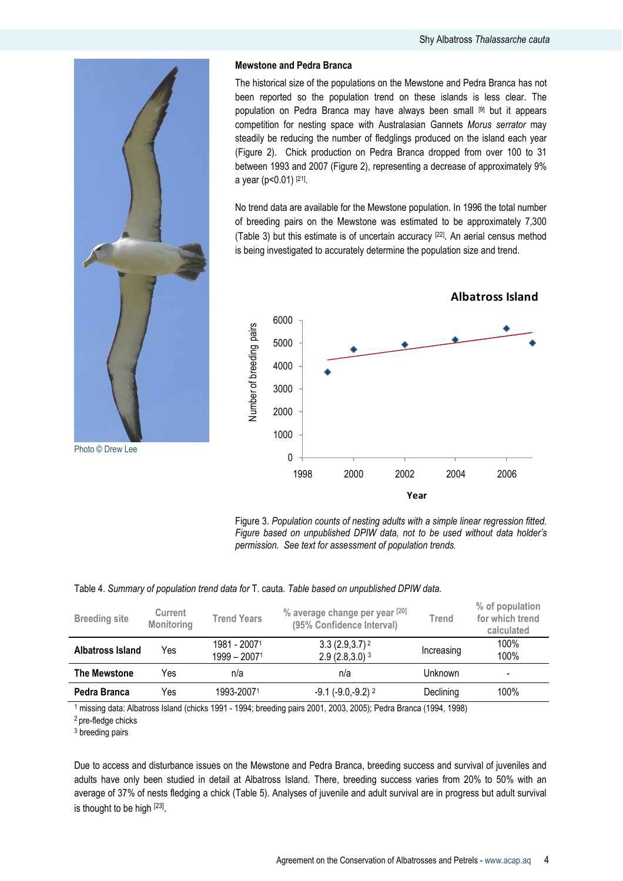

### Mewstone and Pedra Branca

The historical size of the populations on the Mewstone and Pedra Branca has not been reported so the population trend on these islands is less clear. The population on Pedra Branca may have always been small [9] but it appears competition for nesting space with Australasian Gannets Morus serrator may steadily be reducing the number of fledglings produced on the island each year (Figure 2). Chick production on Pedra Branca dropped from over 100 to 31 between 1993 and 2007 (Figure 2), representing a decrease of approximately 9% a year (p<0.01) [21] .

No trend data are available for the Mewstone population. In 1996 the total number of breeding pairs on the Mewstone was estimated to be approximately 7,300 (Table 3) but this estimate is of uncertain accuracy [22] . An aerial census method is being investigated to accurately determine the population size and trend.



Figure 3. Population counts of nesting adults with a simple linear regression fitted. Figure based on unpublished DPIW data, not to be used without data holder's permission. See text for assessment of population trends.

### Table 4. Summary of population trend data for T. cauta. Table based on unpublished DPIW data.

| <b>Breeding site</b> | Current<br>Monitoring | <b>Trend Years</b>           | % average change per year [20]<br>(95% Confidence Interval) | Trend      | % of population<br>for which trend<br>calculated |
|----------------------|-----------------------|------------------------------|-------------------------------------------------------------|------------|--------------------------------------------------|
| Albatross Island     | Yes                   | 1981 - 20071<br>1999 – 20071 | $3.3(2.9,3.7)^2$<br>$2.9(2.8,3.0)^3$                        | Increasing | 100%<br>100%                                     |
| <b>The Mewstone</b>  | Yes                   | n/a                          | n/a                                                         | Unknown    | -                                                |
| Pedra Branca         | Yes                   | 1993-20071                   | $-9.1$ ( $-9.0, -9.2$ ) <sup>2</sup>                        | Declining  | 100%                                             |

1 missing data: Albatross Island (chicks 1991 - 1994; breeding pairs 2001, 2003, 2005); Pedra Branca (1994, 1998)

<sup>2</sup> pre-fledge chicks

3 breeding pairs

Due to access and disturbance issues on the Mewstone and Pedra Branca, breeding success and survival of juveniles and adults have only been studied in detail at Albatross Island. There, breeding success varies from 20% to 50% with an average of 37% of nests fledging a chick (Table 5). Analyses of juvenile and adult survival are in progress but adult survival is thought to be high [23].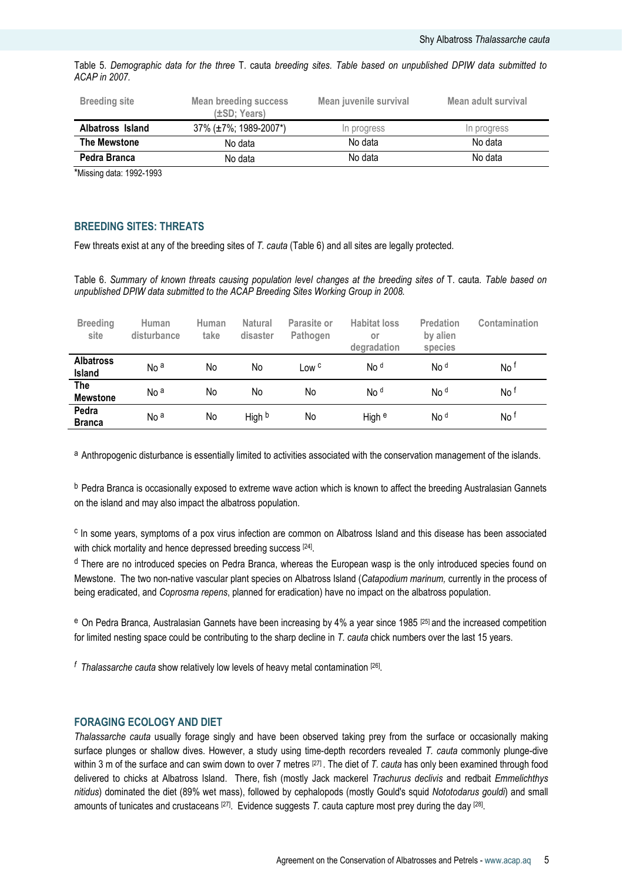|               | Table 5. Demographic data for the three T. cauta breeding sites. Table based on unpublished DPIW data submitted to |  |  |  |  |  |  |  |
|---------------|--------------------------------------------------------------------------------------------------------------------|--|--|--|--|--|--|--|
| ACAP in 2007. |                                                                                                                    |  |  |  |  |  |  |  |

| <b>Breeding site</b> | <b>Mean breeding success</b><br>$(\pm SD; Years)$ | Mean juvenile survival | Mean adult survival |
|----------------------|---------------------------------------------------|------------------------|---------------------|
| Albatross Island     | 37% (±7%; 1989-2007*)                             | In progress            | In progress         |
| The Mewstone         | No data                                           | No data                | No data             |
| Pedra Branca         | No data                                           | No data                | No data             |

\*Missing data: 1992-1993

# BREEDING SITES: THREATS

Few threats exist at any of the breeding sites of T. cauta (Table 6) and all sites are legally protected.

Table 6. Summary of known threats causing population level changes at the breeding sites of T. cauta. Table based on unpublished DPIW data submitted to the ACAP Breeding Sites Working Group in 2008.

| <b>Breeding</b><br>site       | Human<br>disturbance | Human<br>take | <b>Natural</b><br>disaster | Parasite or<br>Pathogen | <b>Habitat loss</b><br>or<br>degradation | Predation<br>by alien<br>species | Contamination |
|-------------------------------|----------------------|---------------|----------------------------|-------------------------|------------------------------------------|----------------------------------|---------------|
| <b>Albatross</b><br>Island    | No <sup>a</sup>      | No            | No                         | Low <sup>c</sup>        | No <sup>d</sup>                          | No <sup>d</sup>                  | No t          |
| <b>The</b><br><b>Mewstone</b> | No <sup>a</sup>      | No            | No                         | No                      | No <sup>d</sup>                          | No <sup>d</sup>                  | No t          |
| Pedra<br><b>Branca</b>        | No <sup>a</sup>      | No            | High b                     | No                      | High <sup>e</sup>                        | No <sup>d</sup>                  | No t          |

a Anthropogenic disturbance is essentially limited to activities associated with the conservation management of the islands.

b Pedra Branca is occasionally exposed to extreme wave action which is known to affect the breeding Australasian Gannets on the island and may also impact the albatross population.

<sup>c</sup> In some years, symptoms of a pox virus infection are common on Albatross Island and this disease has been associated with chick mortality and hence depressed breeding success [24].

<sup>d</sup> There are no introduced species on Pedra Branca, whereas the European wasp is the only introduced species found on Mewstone. The two non-native vascular plant species on Albatross Island (Catapodium marinum, currently in the process of being eradicated, and Coprosma repens, planned for eradication) have no impact on the albatross population.

e On Pedra Branca, Australasian Gannets have been increasing by 4% a year since 1985 [25] and the increased competition for limited nesting space could be contributing to the sharp decline in T. cauta chick numbers over the last 15 years.

<sup>f</sup> Thalassarche cauta show relatively low levels of heavy metal contamination [26].

#### FORAGING ECOLOGY AND DIET

Thalassarche cauta usually forage singly and have been observed taking prey from the surface or occasionally making surface plunges or shallow dives. However, a study using time-depth recorders revealed T, cauta commonly plunge-dive within 3 m of the surface and can swim down to over 7 metres  $[27]$ . The diet of T. cauta has only been examined through food delivered to chicks at Albatross Island. There, fish (mostly Jack mackerel Trachurus declivis and redbait Emmelichthys nitidus) dominated the diet (89% wet mass), followed by cephalopods (mostly Gould's squid Nototodarus gouldi) and small amounts of tunicates and crustaceans <sup>[27]</sup>. Evidence suggests T. cauta capture most prey during the day <sup>[28]</sup>.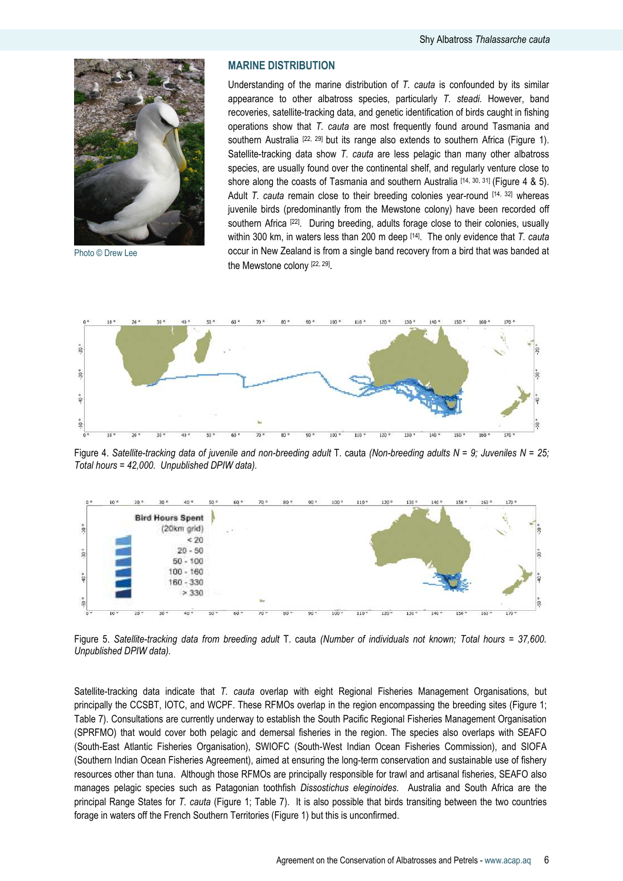

Photo © Drew Lee

# MARINE DISTRIBUTION

Understanding of the marine distribution of  $T$ . cauta is confounded by its similar appearance to other albatross species, particularly T. steadi. However, band recoveries, satellite-tracking data, and genetic identification of birds caught in fishing operations show that T. cauta are most frequently found around Tasmania and southern Australia  $[22, 29]$  but its range also extends to southern Africa (Figure 1). Satellite-tracking data show T. cauta are less pelagic than many other albatross species, are usually found over the continental shelf, and regularly venture close to shore along the coasts of Tasmania and southern Australia  $[14, 30, 31]$  (Figure 4 & 5). Adult T. cauta remain close to their breeding colonies year-round  $[14, 32]$  whereas juvenile birds (predominantly from the Mewstone colony) have been recorded off southern Africa <a>[22]</a>. During breeding, adults forage close to their colonies, usually within 300 km, in waters less than 200 m deep  $[14]$ . The only evidence that T. cauta occur in New Zealand is from a single band recovery from a bird that was banded at the Mewstone colony [22, 29].



Figure 4. Satellite-tracking data of juvenile and non-breeding adult T. cauta (Non-breeding adults  $N = 9$ ; Juveniles  $N = 25$ ; Total hours = 42,000. Unpublished DPIW data).



Figure 5. Satellite-tracking data from breeding adult T. cauta (Number of individuals not known; Total hours = 37,600. Unpublished DPIW data).

Satellite-tracking data indicate that T. cauta overlap with eight Regional Fisheries Management Organisations, but principally the CCSBT, IOTC, and WCPF. These RFMOs overlap in the region encompassing the breeding sites (Figure 1; Table 7). Consultations are currently underway to establish the South Pacific Regional Fisheries Management Organisation (SPRFMO) that would cover both pelagic and demersal fisheries in the region. The species also overlaps with SEAFO (South-East Atlantic Fisheries Organisation), SWIOFC (South-West Indian Ocean Fisheries Commission), and SIOFA (Southern Indian Ocean Fisheries Agreement), aimed at ensuring the long-term conservation and sustainable use of fishery resources other than tuna. Although those RFMOs are principally responsible for trawl and artisanal fisheries, SEAFO also manages pelagic species such as Patagonian toothfish Dissostichus eleginoides. Australia and South Africa are the principal Range States for T. cauta (Figure 1; Table 7). It is also possible that birds transiting between the two countries forage in waters off the French Southern Territories (Figure 1) but this is unconfirmed.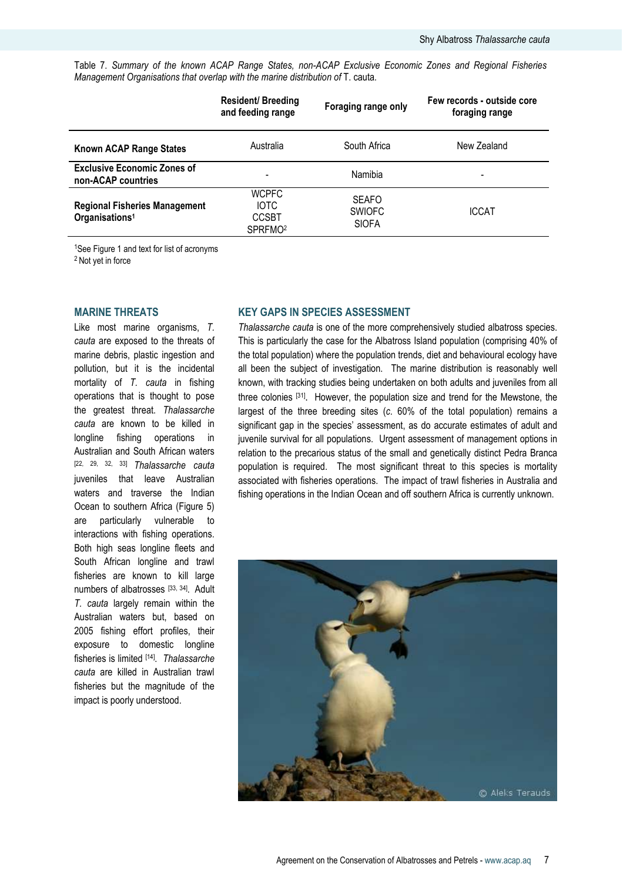Table 7. Summary of the known ACAP Range States, non-ACAP Exclusive Economic Zones and Regional Fisheries Management Organisations that overlap with the marine distribution of T. cauta.

|                                                                    | <b>Resident/ Breeding</b><br>and feeding range                     | Foraging range only                           | Few records - outside core<br>foraging range |
|--------------------------------------------------------------------|--------------------------------------------------------------------|-----------------------------------------------|----------------------------------------------|
| Known ACAP Range States                                            | Australia                                                          | South Africa                                  | New Zealand                                  |
| <b>Exclusive Economic Zones of</b><br>non-ACAP countries           |                                                                    | Namibia                                       | -                                            |
| <b>Regional Fisheries Management</b><br>Organisations <sup>1</sup> | <b>WCPFC</b><br><b>IOTC</b><br><b>CCSBT</b><br>SPRFMO <sup>2</sup> | <b>SEAFO</b><br><b>SWIOFC</b><br><b>SIOFA</b> | <b>ICCAT</b>                                 |

<sup>1</sup>See Figure 1 and text for list of acronyms

<sup>2</sup> Not yet in force

### MARINE THREATS

Like most marine organisms, T. cauta are exposed to the threats of marine debris, plastic ingestion and pollution, but it is the incidental mortality of T. cauta in fishing operations that is thought to pose the greatest threat. Thalassarche cauta are known to be killed in longline fishing operations in Australian and South African waters [22, 29, 32, 33] Thalassarche cauta juveniles that leave Australian waters and traverse the Indian Ocean to southern Africa (Figure 5) are particularly vulnerable to interactions with fishing operations. Both high seas longline fleets and South African longline and trawl fisheries are known to kill large numbers of albatrosses [33, 34]. Adult T. cauta largely remain within the Australian waters but, based on 2005 fishing effort profiles, their exposure to domestic longline fisheries is limited [14]. Thalassarche cauta are killed in Australian trawl fisheries but the magnitude of the impact is poorly understood.

## KEY GAPS IN SPECIES ASSESSMENT

Thalassarche cauta is one of the more comprehensively studied albatross species. This is particularly the case for the Albatross Island population (comprising 40% of the total population) where the population trends, diet and behavioural ecology have all been the subject of investigation. The marine distribution is reasonably well known, with tracking studies being undertaken on both adults and juveniles from all three colonies [31]. However, the population size and trend for the Mewstone, the largest of the three breeding sites (c. 60% of the total population) remains a significant gap in the species' assessment, as do accurate estimates of adult and juvenile survival for all populations. Urgent assessment of management options in relation to the precarious status of the small and genetically distinct Pedra Branca population is required. The most significant threat to this species is mortality associated with fisheries operations. The impact of trawl fisheries in Australia and fishing operations in the Indian Ocean and off southern Africa is currently unknown.

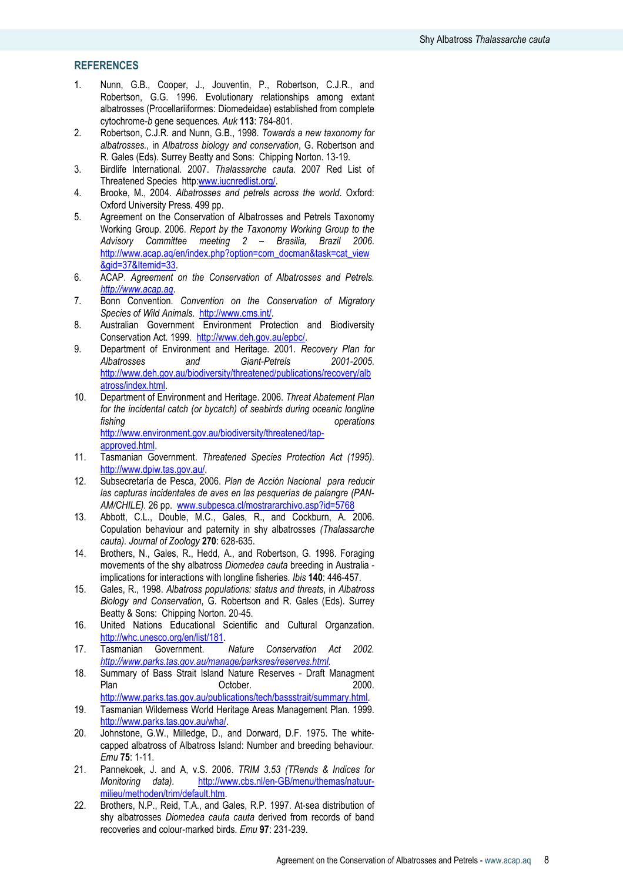# **REFERENCES**

- 1. Nunn, G.B., Cooper, J., Jouventin, P., Robertson, C.J.R., and Robertson, G.G. 1996. Evolutionary relationships among extant albatrosses (Procellariiformes: Diomedeidae) established from complete cytochrome-b gene sequences. Auk 113: 784-801.
- 2. Robertson, C.J.R. and Nunn, G.B., 1998. Towards a new taxonomy for albatrosses., in Albatross biology and conservation, G. Robertson and R. Gales (Eds). Surrey Beatty and Sons: Chipping Norton. 13-19.
- 3. Birdlife International. 2007. Thalassarche cauta. 2007 Red List of Threatened Species http:www.iucnredlist.org/.
- 4. Brooke, M., 2004. Albatrosses and petrels across the world. Oxford: Oxford University Press. 499 pp.
- 5. Agreement on the Conservation of Albatrosses and Petrels Taxonomy Working Group. 2006. Report by the Taxonomy Working Group to the Advisory Committee meeting 2 – Brasilia, Brazil 2006. http://www.acap.aq/en/index.php?option=com\_docman&task=cat\_view &gid=37&Itemid=33.
- 6. ACAP. Agreement on the Conservation of Albatrosses and Petrels. http://www.acap.aq.
- 7. Bonn Convention. Convention on the Conservation of Migratory Species of Wild Animals. http://www.cms.int/.
- 8. Australian Government Environment Protection and Biodiversity Conservation Act. 1999. http://www.deh.gov.au/epbc/.
- 9. Department of Environment and Heritage. 2001. Recovery Plan for Albatrosses and Giant-Petrels 2001-2005. http://www.deh.gov.au/biodiversity/threatened/publications/recovery/alb atross/index.html.
- 10. Department of Environment and Heritage. 2006. Threat Abatement Plan for the incidental catch (or bycatch) of seabirds during oceanic longline fishing operations operations http://www.environment.gov.au/biodiversity/threatened/tap-

approved.html.

- 11. Tasmanian Government. Threatened Species Protection Act (1995). http://www.dpiw.tas.gov.au/.
- 12. Subsecretaría de Pesca, 2006. Plan de Acción Nacional para reducir las capturas incidentales de aves en las pesquerías de palangre (PAN-AM/CHILE). 26 pp. www.subpesca.cl/mostrararchivo.asp?id=5768
- 13. Abbott, C.L., Double, M.C., Gales, R., and Cockburn, A. 2006. Copulation behaviour and paternity in shy albatrosses (Thalassarche cauta). Journal of Zoology 270: 628-635.
- 14. Brothers, N., Gales, R., Hedd, A., and Robertson, G. 1998. Foraging movements of the shy albatross Diomedea cauta breeding in Australia implications for interactions with longline fisheries. Ibis 140: 446-457.
- 15. Gales, R., 1998. Albatross populations: status and threats, in Albatross Biology and Conservation, G. Robertson and R. Gales (Eds). Surrey Beatty & Sons: Chipping Norton. 20-45.
- 16. United Nations Educational Scientific and Cultural Organzation. http://whc.unesco.org/en/list/181.<br>Tasmanian Government.
- 17. Tasmanian Government. Nature Conservation Act 2002. http://www.parks.tas.gov.au/manage/parksres/reserves.html.
- 18. Summary of Bass Strait Island Nature Reserves Draft Managment Plan **Detober.** Corresponding October. http://www.parks.tas.gov.au/publications/tech/bassstrait/summary.html.
- 19. Tasmanian Wilderness World Heritage Areas Management Plan. 1999. http://www.parks.tas.gov.au/wha/.
- 20. Johnstone, G.W., Milledge, D., and Dorward, D.F. 1975. The whitecapped albatross of Albatross Island: Number and breeding behaviour. Emu 75: 1-11.
- 21. Pannekoek, J. and A, v.S. 2006. TRIM 3.53 (TRends & Indices for Monitoring data). http://www.cbs.nl/en-GB/menu/themas/natuurmilieu/methoden/trim/default.htm.
- 22. Brothers, N.P., Reid, T.A., and Gales, R.P. 1997. At-sea distribution of shy albatrosses Diomedea cauta cauta derived from records of band recoveries and colour-marked birds. Emu 97: 231-239.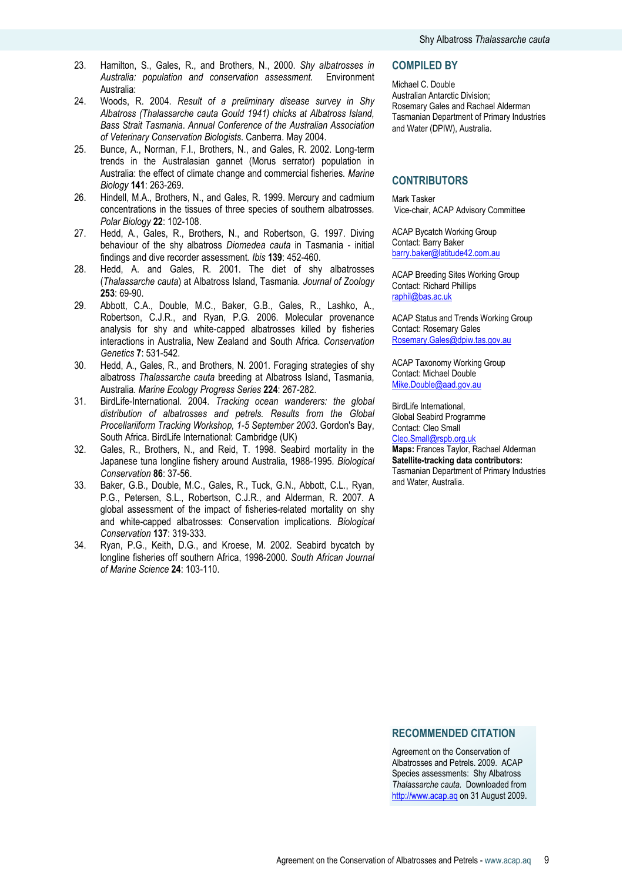- 23. Hamilton, S., Gales, R., and Brothers, N., 2000. Shy albatrosses in Australia: population and conservation assessment. Environment Australia:
- 24. Woods, R. 2004. Result of a preliminary disease survey in Shy Albatross (Thalassarche cauta Gould 1941) chicks at Albatross Island, Bass Strait Tasmania. Annual Conference of the Australian Association of Veterinary Conservation Biologists. Canberra. May 2004.
- 25. Bunce, A., Norman, F.I., Brothers, N., and Gales, R. 2002. Long-term trends in the Australasian gannet (Morus serrator) population in Australia: the effect of climate change and commercial fisheries. Marine Biology 141: 263-269.
- 26. Hindell, M.A., Brothers, N., and Gales, R. 1999. Mercury and cadmium concentrations in the tissues of three species of southern albatrosses. Polar Biology 22: 102-108.
- 27. Hedd, A., Gales, R., Brothers, N., and Robertson, G. 1997. Diving behaviour of the shy albatross Diomedea cauta in Tasmania - initial findings and dive recorder assessment. Ibis 139: 452-460.
- 28. Hedd, A. and Gales, R. 2001. The diet of shy albatrosses (Thalassarche cauta) at Albatross Island, Tasmania. Journal of Zoology 253: 69-90.
- 29. Abbott, C.A., Double, M.C., Baker, G.B., Gales, R., Lashko, A., Robertson, C.J.R., and Ryan, P.G. 2006. Molecular provenance analysis for shy and white-capped albatrosses killed by fisheries interactions in Australia, New Zealand and South Africa. Conservation Genetics 7: 531-542.
- 30. Hedd, A., Gales, R., and Brothers, N. 2001. Foraging strategies of shy albatross Thalassarche cauta breeding at Albatross Island, Tasmania, Australia. Marine Ecology Progress Series 224: 267-282.
- 31. BirdLife-International. 2004. Tracking ocean wanderers: the global distribution of albatrosses and petrels. Results from the Global Procellariiform Tracking Workshop, 1-5 September 2003. Gordon's Bay, South Africa. BirdLife International: Cambridge (UK)
- 32. Gales, R., Brothers, N., and Reid, T. 1998. Seabird mortality in the Japanese tuna longline fishery around Australia, 1988-1995. Biological Conservation 86: 37-56.
- 33. Baker, G.B., Double, M.C., Gales, R., Tuck, G.N., Abbott, C.L., Ryan, P.G., Petersen, S.L., Robertson, C.J.R., and Alderman, R. 2007. A global assessment of the impact of fisheries-related mortality on shy and white-capped albatrosses: Conservation implications. Biological Conservation 137: 319-333.
- 34. Ryan, P.G., Keith, D.G., and Kroese, M. 2002. Seabird bycatch by longline fisheries off southern Africa, 1998-2000. South African Journal of Marine Science 24: 103-110.

### COMPILED BY

Michael C. Double Australian Antarctic Division; Rosemary Gales and Rachael Alderman Tasmanian Department of Primary Industries and Water (DPIW), Australia.

### **CONTRIBUTORS**

Mark Tasker Vice-chair, ACAP Advisory Committee

ACAP Bycatch Working Group Contact: Barry Baker barry.baker@latitude42.com.au

ACAP Breeding Sites Working Group Contact: Richard Phillips raphil@bas.ac.uk

ACAP Status and Trends Working Group Contact: Rosemary Gales Rosemary.Gales@dpiw.tas.gov.au

ACAP Taxonomy Working Group Contact: Michael Double Mike.Double@aad.gov.au

BirdLife International, Global Seabird Programme Contact: Cleo Small Cleo.Small@rspb.org.uk

Maps: Frances Taylor, Rachael Alderman Satellite-tracking data contributors: Tasmanian Department of Primary Industries and Water, Australia.

### RECOMMENDED CITATION

Agreement on the Conservation of Albatrosses and Petrels. 2009. ACAP Species assessments: Shy Albatross Thalassarche cauta. Downloaded from http://www.acap.aq on 31 August 2009.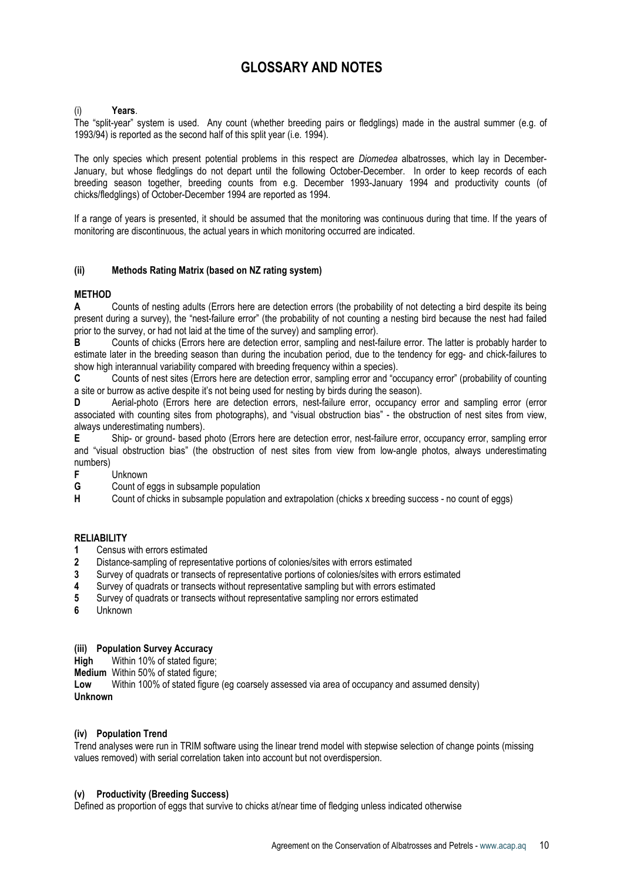# GLOSSARY AND NOTES

### Years.

The "split-year" system is used. Any count (whether breeding pairs or fledglings) made in the austral summer (e.g. of 1993/94) is reported as the second half of this split year (i.e. 1994).

The only species which present potential problems in this respect are *Diomedea* albatrosses, which lay in December-January, but whose fledglings do not depart until the following October-December. In order to keep records of each breeding season together, breeding counts from e.g. December 1993-January 1994 and productivity counts (of chicks/fledglings) of October-December 1994 are reported as 1994.

If a range of years is presented, it should be assumed that the monitoring was continuous during that time. If the years of monitoring are discontinuous, the actual years in which monitoring occurred are indicated.

## (ii) Methods Rating Matrix (based on NZ rating system)

# **METHOD**

A Counts of nesting adults (Errors here are detection errors (the probability of not detecting a bird despite its being present during a survey), the "nest-failure error" (the probability of not counting a nesting bird because the nest had failed prior to the survey, or had not laid at the time of the survey) and sampling error).

B Counts of chicks (Errors here are detection error, sampling and nest-failure error. The latter is probably harder to estimate later in the breeding season than during the incubation period, due to the tendency for egg- and chick-failures to show high interannual variability compared with breeding frequency within a species).

C Counts of nest sites (Errors here are detection error, sampling error and "occupancy error" (probability of counting a site or burrow as active despite it's not being used for nesting by birds during the season).

D Aerial-photo (Errors here are detection errors, nest-failure error, occupancy error and sampling error (error associated with counting sites from photographs), and "visual obstruction bias" - the obstruction of nest sites from view, always underestimating numbers).

E Ship- or ground- based photo (Errors here are detection error, nest-failure error, occupancy error, sampling error and "visual obstruction bias" (the obstruction of nest sites from view from low-angle photos, always underestimating numbers)<br>F

- Unknown
- G Count of eggs in subsample population

H Count of chicks in subsample population and extrapolation (chicks x breeding success - no count of eggs)

### RELIABILITY

- 1 Census with errors estimated
- 2 Distance-sampling of representative portions of colonies/sites with errors estimated
- 3 Survey of quadrats or transects of representative portions of colonies/sites with errors estimated
- 4 Survey of quadrats or transects without representative sampling but with errors estimated
- 5 Survey of quadrats or transects without representative sampling nor errors estimated
- 6 Unknown

# (iii) Population Survey Accuracy

High Within 10% of stated figure:

**Medium** Within 50% of stated figure;<br>**I ow** Within 100% of stated figure

Within 100% of stated figure (eg coarsely assessed via area of occupancy and assumed density) Unknown

### (iv) Population Trend

Trend analyses were run in TRIM software using the linear trend model with stepwise selection of change points (missing values removed) with serial correlation taken into account but not overdispersion.

### (v) Productivity (Breeding Success)

Defined as proportion of eggs that survive to chicks at/near time of fledging unless indicated otherwise